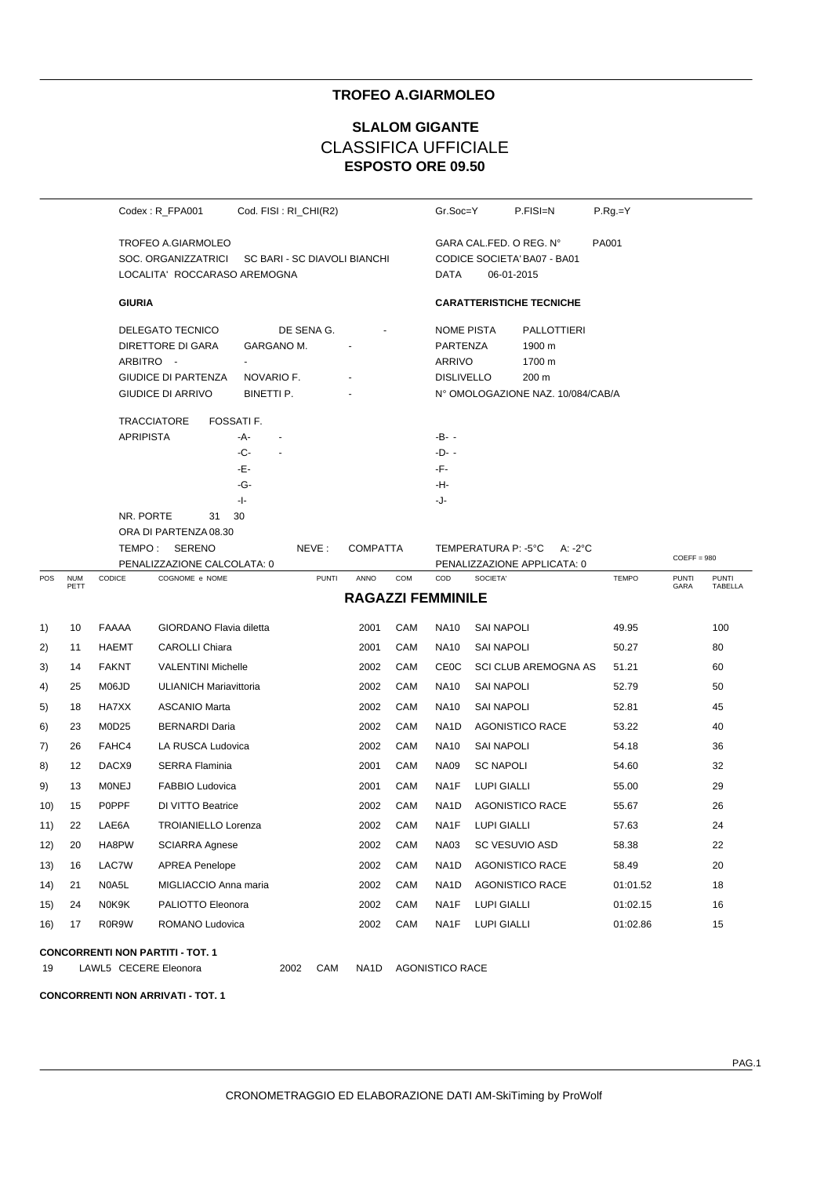## **TROFEO A.GIARMOLEO**

# **ESPOSTO ORE 09.50 SLALOM GIGANTE** CLASSIFICA UFFICIALE

|     |                       |                  | Codex: R_FPA001                         | Cod. FISI : RI_CHI(R2)       |              |                          |     | Gr.Soc=Y                   |                         | P.FISI=N                          | $P.Rg = Y$   |                      |                         |
|-----|-----------------------|------------------|-----------------------------------------|------------------------------|--------------|--------------------------|-----|----------------------------|-------------------------|-----------------------------------|--------------|----------------------|-------------------------|
|     |                       |                  | TROFEO A.GIARMOLEO                      |                              |              |                          |     |                            | GARA CAL FED. O REG. N° |                                   | PA001        |                      |                         |
|     |                       |                  | SOC. ORGANIZZATRICI                     | SC BARI - SC DIAVOLI BIANCHI |              |                          |     |                            |                         | CODICE SOCIETA' BA07 - BA01       |              |                      |                         |
|     |                       |                  | LOCALITA' ROCCARASO AREMOGNA            |                              |              |                          |     | DATA                       | 06-01-2015              |                                   |              |                      |                         |
|     |                       | <b>GIURIA</b>    |                                         |                              |              |                          |     |                            |                         | <b>CARATTERISTICHE TECNICHE</b>   |              |                      |                         |
|     |                       |                  | DELEGATO TECNICO                        | DE SENA G.                   |              |                          |     | <b>NOME PISTA</b>          |                         | <b>PALLOTTIERI</b>                |              |                      |                         |
|     |                       |                  | DIRETTORE DI GARA                       | GARGANO M.                   |              |                          |     | PARTENZA<br>1900 m         |                         |                                   |              |                      |                         |
|     |                       | ARBITRO -        | $\blacksquare$                          |                              |              |                          |     |                            | ARRIVO<br>1700 m        |                                   |              |                      |                         |
|     |                       |                  | <b>GIUDICE DI PARTENZA</b>              | NOVARIO F.                   |              |                          |     | <b>DISLIVELLO</b><br>200 m |                         |                                   |              |                      |                         |
|     |                       |                  | <b>GIUDICE DI ARRIVO</b>                | BINETTI P.                   |              |                          |     |                            |                         | N° OMOLOGAZIONE NAZ. 10/084/CAB/A |              |                      |                         |
|     |                       |                  | <b>TRACCIATORE</b><br>FOSSATI F.        |                              |              |                          |     |                            |                         |                                   |              |                      |                         |
|     |                       | <b>APRIPISTA</b> | -A-                                     | $\overline{\phantom{a}}$     |              |                          |     | -B- -                      |                         |                                   |              |                      |                         |
|     |                       |                  | -C-                                     |                              |              |                          |     | -D- -                      |                         |                                   |              |                      |                         |
|     |                       |                  | -Е-                                     |                              |              |                          |     | -F-                        |                         |                                   |              |                      |                         |
|     |                       |                  | -G-                                     |                              |              |                          |     | -H-                        |                         |                                   |              |                      |                         |
|     |                       | NR. PORTE        | -1-<br>30<br>31                         |                              |              |                          |     | -J-                        |                         |                                   |              |                      |                         |
|     |                       |                  | ORA DI PARTENZA 08.30                   |                              |              |                          |     |                            |                         |                                   |              |                      |                         |
|     |                       |                  | TEMPO: SERENO                           |                              | NEVE:        | <b>COMPATTA</b>          |     |                            | TEMPERATURA P: - 5°C    | $A: -2^{\circ}C$                  |              |                      |                         |
|     |                       |                  | PENALIZZAZIONE CALCOLATA: 0             |                              |              |                          |     |                            |                         | PENALIZZAZIONE APPLICATA: 0       |              | $COEFF = 980$        |                         |
| POS | <b>NUM</b><br>PETT    | CODICE           | COGNOME e NOME                          |                              | <b>PUNTI</b> | ANNO                     | COM | COD                        | SOCIETA'                |                                   | <b>TEMPO</b> | <b>PUNTI</b><br>GARA | <b>PUNTI</b><br>TABELLA |
|     |                       |                  |                                         |                              |              | <b>RAGAZZI FEMMINILE</b> |     |                            |                         |                                   |              |                      |                         |
| 1)  | 10                    | FAAAA            | GIORDANO Flavia diletta                 |                              |              | 2001                     | CAM | <b>NA10</b>                | <b>SAI NAPOLI</b>       |                                   | 49.95        |                      | 100                     |
| 2)  | 11                    | HAEMT            | <b>CAROLLI Chiara</b>                   |                              |              | 2001                     | CAM | <b>NA10</b>                | <b>SAI NAPOLI</b>       |                                   | 50.27        |                      | 80                      |
| 3)  | 14                    | <b>FAKNT</b>     | <b>VALENTINI Michelle</b>               |                              |              | 2002                     | CAM | <b>CE0C</b>                |                         | <b>SCI CLUB AREMOGNA AS</b>       | 51.21        |                      | 60                      |
| 4)  | 25                    | M06JD            | ULIANICH Mariavittoria                  |                              |              | 2002                     | CAM | <b>NA10</b>                | <b>SAI NAPOLI</b>       |                                   | 52.79        |                      | 50                      |
| 5)  | 18                    | HA7XX            | <b>ASCANIO Marta</b>                    |                              |              | 2002                     | CAM | <b>NA10</b>                | <b>SAI NAPOLI</b>       |                                   | 52.81        |                      | 45                      |
| 6)  | 23                    | M0D25            | <b>BERNARDI Daria</b>                   |                              |              | 2002                     | CAM | NA1D                       |                         | <b>AGONISTICO RACE</b>            | 53.22        |                      | 40                      |
| 7)  | 26                    | FAHC4            | LA RUSCA Ludovica                       |                              |              | 2002                     | CAM | <b>NA10</b>                | <b>SAI NAPOLI</b>       |                                   | 54.18        |                      | 36                      |
| 8)  | 12                    | DACX9            | <b>SERRA Flaminia</b>                   |                              |              | 2001                     | CAM | <b>NA09</b>                | <b>SC NAPOLI</b>        |                                   | 54.60        |                      | 32                      |
| 9)  | 13                    | <b>MONEJ</b>     | FABBIO Ludovica                         |                              |              | 2001                     | CAM | NA1F                       | <b>LUPI GIALLI</b>      |                                   | 55.00        |                      | 29                      |
| 10) | 15                    | <b>POPPF</b>     | DI VITTO Beatrice                       |                              |              | 2002                     | CAM | NA1D                       |                         | <b>AGONISTICO RACE</b>            | 55.67        |                      | 26                      |
| 11) | 22                    | LAE6A            | <b>TROIANIELLO Lorenza</b>              |                              |              | 2002                     | CAM | NA1F                       | LUPI GIALLI             |                                   | 57.63        |                      | 24                      |
| 12) | 20                    | HA8PW            | <b>SCIARRA Agnese</b>                   |                              |              | 2002                     | CAM | <b>NA03</b>                | SC VESUVIO ASD          |                                   | 58.38        |                      | 22                      |
| 13) | 16                    | LAC7W            | <b>APREA Penelope</b>                   |                              |              | 2002                     | CAM | NA1D                       |                         | <b>AGONISTICO RACE</b>            | 58.49        |                      | 20                      |
| 14) | 21                    | N0A5L            | MIGLIACCIO Anna maria                   |                              |              | 2002                     | CAM | NA <sub>1</sub> D          |                         | <b>AGONISTICO RACE</b>            | 01:01.52     |                      | 18                      |
| 15) | 24                    | N0K9K            | PALIOTTO Eleonora                       |                              |              | 2002                     | CAM | NA1F                       | LUPI GIALLI             |                                   | 01:02.15     |                      | 16                      |
| 16) | 17                    | R0R9W            | ROMANO Ludovica                         |                              |              | 2002                     | CAM | NA1F                       | <b>LUPI GIALLI</b>      |                                   | 01:02.86     |                      | 15                      |
|     |                       |                  | <b>CONCORRENTI NON PARTITI - TOT. 1</b> |                              |              |                          |     |                            |                         |                                   |              |                      |                         |
| 19  | LAWL5 CECERE Eleonora |                  |                                         | 2002                         | CAM          | NA <sub>1</sub> D        |     | <b>AGONISTICO RACE</b>     |                         |                                   |              |                      |                         |
|     |                       |                  |                                         |                              |              |                          |     |                            |                         |                                   |              |                      |                         |

**CONCORRENTI NON ARRIVATI - TOT. 1**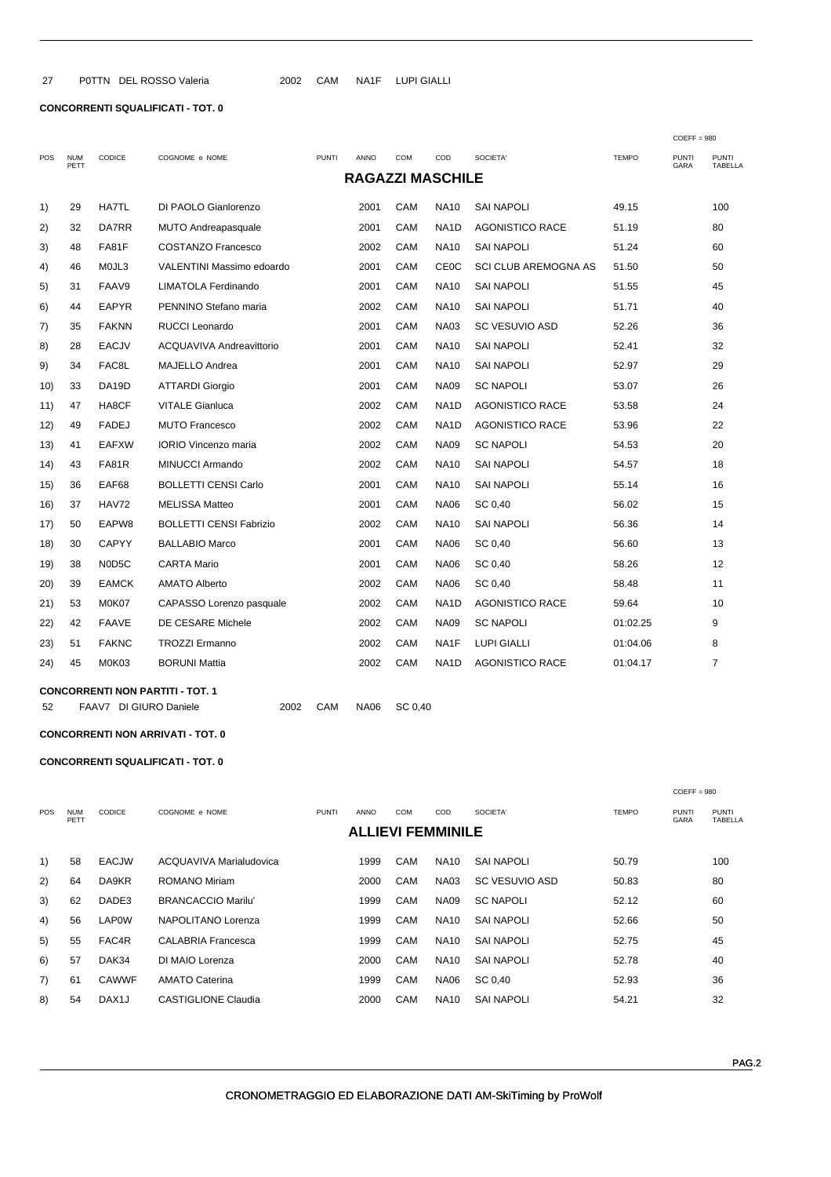$27$ P0TTN DEL ROSSO Valeria

## **CONCORRENTI SQUALIFICATI - TOT. 0**

|      |                    |                    |                                |              |                         |     |                   | $COEFF = 980$               |              |                      |                         |
|------|--------------------|--------------------|--------------------------------|--------------|-------------------------|-----|-------------------|-----------------------------|--------------|----------------------|-------------------------|
| POS  | <b>NUM</b><br>PETT | <b>CODICE</b>      | COGNOME e NOME                 | <b>PUNTI</b> | ANNO                    | COM | COD               | SOCIETA'                    | <b>TEMPO</b> | <b>PUNTI</b><br>GARA | <b>PUNTI</b><br>TABELLA |
|      |                    |                    |                                |              | <b>RAGAZZI MASCHILE</b> |     |                   |                             |              |                      |                         |
| 1)   | 29                 | HA7TL              | DI PAOLO Gianlorenzo           |              | 2001                    | CAM | <b>NA10</b>       | <b>SAI NAPOLI</b>           | 49.15        |                      | 100                     |
| 2)   | 32                 | <b>DA7RR</b>       | <b>MUTO Andreapasquale</b>     |              | 2001                    | CAM | NA <sub>1</sub> D | <b>AGONISTICO RACE</b>      | 51.19        |                      | 80                      |
| 3)   | 48                 | <b>FA81F</b>       | <b>COSTANZO Francesco</b>      |              | 2002                    | CAM | <b>NA10</b>       | <b>SAI NAPOLI</b>           | 51.24        |                      | 60                      |
| 4)   | 46                 | MOJL3              | VALENTINI Massimo edoardo      |              | 2001                    | CAM | <b>CE0C</b>       | <b>SCI CLUB AREMOGNA AS</b> | 51.50        |                      | 50                      |
| 5)   | 31                 | FAAV9              | <b>LIMATOLA Ferdinando</b>     |              | 2001                    | CAM | <b>NA10</b>       | <b>SAI NAPOLI</b>           | 51.55        |                      | 45                      |
| 6)   | 44                 | <b>EAPYR</b>       | PENNINO Stefano maria          |              | 2002                    | CAM | <b>NA10</b>       | <b>SAI NAPOLI</b>           | 51.71        |                      | 40                      |
| 7)   | 35                 | <b>FAKNN</b>       | <b>RUCCI Leonardo</b>          |              | 2001                    | CAM | <b>NA03</b>       | <b>SC VESUVIO ASD</b>       | 52.26        |                      | 36                      |
| 8)   | 28                 | <b>EACJV</b>       | ACQUAVIVA Andreavittorio       |              | 2001                    | CAM | <b>NA10</b>       | <b>SAI NAPOLI</b>           | 52.41        |                      | 32                      |
| 9)   | 34                 | FAC8L              | <b>MAJELLO Andrea</b>          |              | 2001                    | CAM | <b>NA10</b>       | <b>SAI NAPOLI</b>           | 52.97        |                      | 29                      |
| 10)  | 33                 | DA <sub>19</sub> D | <b>ATTARDI Giorgio</b>         |              | 2001                    | CAM | <b>NA09</b>       | <b>SC NAPOLI</b>            | 53.07        |                      | 26                      |
| 11)  | 47                 | HA8CF              | <b>VITALE Gianluca</b>         |              | 2002                    | CAM | NA <sub>1</sub> D | <b>AGONISTICO RACE</b>      | 53.58        |                      | 24                      |
| 12)  | 49                 | <b>FADEJ</b>       | <b>MUTO Francesco</b>          |              | 2002                    | CAM | NA <sub>1</sub> D | <b>AGONISTICO RACE</b>      | 53.96        |                      | 22                      |
| 13)  | 41                 | <b>EAFXW</b>       | <b>IORIO Vincenzo maria</b>    |              | 2002                    | CAM | <b>NA09</b>       | <b>SC NAPOLI</b>            | 54.53        |                      | 20                      |
| (14) | 43                 | FA81R              | <b>MINUCCI Armando</b>         |              | 2002                    | CAM | <b>NA10</b>       | <b>SAI NAPOLI</b>           | 54.57        |                      | 18                      |
| 15)  | 36                 | EAF68              | <b>BOLLETTI CENSI Carlo</b>    |              | 2001                    | CAM | <b>NA10</b>       | <b>SAI NAPOLI</b>           | 55.14        |                      | 16                      |
| 16)  | 37                 | <b>HAV72</b>       | <b>MELISSA Matteo</b>          |              | 2001                    | CAM | <b>NA06</b>       | SC 0,40                     | 56.02        |                      | 15                      |
| 17)  | 50                 | EAPW8              | <b>BOLLETTI CENSI Fabrizio</b> |              | 2002                    | CAM | <b>NA10</b>       | <b>SAI NAPOLI</b>           | 56.36        |                      | 14                      |
| 18)  | 30                 | <b>CAPYY</b>       | <b>BALLABIO Marco</b>          |              | 2001                    | CAM | <b>NA06</b>       | SC 0.40                     | 56.60        |                      | 13                      |
| 19)  | 38                 | N0D5C              | <b>CARTA Mario</b>             |              | 2001                    | CAM | <b>NA06</b>       | SC 0,40                     | 58.26        |                      | 12                      |
| 20)  | 39                 | <b>EAMCK</b>       | <b>AMATO Alberto</b>           |              | 2002                    | CAM | <b>NA06</b>       | SC 0,40                     | 58.48        |                      | 11                      |
| 21)  | 53                 | M0K07              | CAPASSO Lorenzo pasquale       |              | 2002                    | CAM | NA <sub>1</sub> D | <b>AGONISTICO RACE</b>      | 59.64        |                      | 10                      |
| 22)  | 42                 | <b>FAAVE</b>       | DE CESARE Michele              |              | 2002                    | CAM | <b>NA09</b>       | <b>SC NAPOLI</b>            | 01:02.25     |                      | 9                       |
| 23)  | 51                 | <b>FAKNC</b>       | <b>TROZZI Ermanno</b>          |              | 2002                    | CAM | NA1F              | <b>LUPI GIALLI</b>          | 01:04.06     |                      | 8                       |
| 24)  | 45                 | M0K03              | <b>BORUNI Mattia</b>           |              | 2002                    | CAM | NA <sub>1</sub> D | <b>AGONISTICO RACE</b>      | 01:04.17     |                      | $\overline{7}$          |
|      |                    |                    |                                |              |                         |     |                   |                             |              |                      |                         |

2002 CAM NA1F LUPIGIALLI

**CONCORRENTI NON PARTITI - TOT. 1** 52 FAAV7 DI GIURO Daniele

2002 CAM NA06 SC 0,40

#### **CONCORRENTI NON ARRIVATI - TOT. 0**

## **CONCORRENTI SQUALIFICATI - TOT. 0**

|            |               |                           |              |             |            |             |                   |                          | $COEFF = 980$ |                                |
|------------|---------------|---------------------------|--------------|-------------|------------|-------------|-------------------|--------------------------|---------------|--------------------------------|
| <b>NUM</b> | <b>CODICE</b> | COGNOME e NOME            | <b>PUNTI</b> | <b>ANNO</b> | <b>COM</b> | COD         | SOCIETA'          | <b>TEMPO</b>             | <b>PUNTI</b>  | <b>PUNTI</b><br><b>TABELLA</b> |
|            |               |                           |              |             |            |             |                   |                          |               |                                |
| 58         | <b>EACJW</b>  | ACQUAVIVA Marialudovica   |              | 1999        | CAM        | <b>NA10</b> | <b>SAI NAPOLI</b> | 50.79                    |               | 100                            |
| 64         | DA9KR         | ROMANO Miriam             |              | 2000        | CAM        | <b>NA03</b> | SC VESUVIO ASD    | 50.83                    |               | 80                             |
| 62         | DADE3         | <b>BRANCACCIO Marilu'</b> |              | 1999        | CAM        | <b>NA09</b> | <b>SC NAPOLI</b>  | 52.12                    |               | 60                             |
| 56         | <b>LAP0W</b>  | NAPOLITANO Lorenza        |              | 1999        | CAM        | <b>NA10</b> | <b>SAI NAPOLI</b> | 52.66                    |               | 50                             |
| 55         | FAC4R         | CALABRIA Francesca        |              | 1999        | CAM        | <b>NA10</b> | SAI NAPOLI        | 52.75                    |               | 45                             |
| 57         | DAK34         | DI MAIO Lorenza           |              | 2000        | CAM        | <b>NA10</b> | <b>SAI NAPOLI</b> | 52.78                    |               | 40                             |
| 61         | <b>CAWWF</b>  | <b>AMATO Caterina</b>     |              | 1999        | CAM        | <b>NA06</b> | SC 0,40           | 52.93                    |               | 36                             |
| 54         | DAX1J         | CASTIGLIONE Claudia       |              | 2000        | CAM        | <b>NA10</b> | <b>SAI NAPOLI</b> | 54.21                    |               | 32                             |
|            | PETT          |                           |              |             |            |             |                   | <b>ALLIEVI FEMMINILE</b> |               | GARA                           |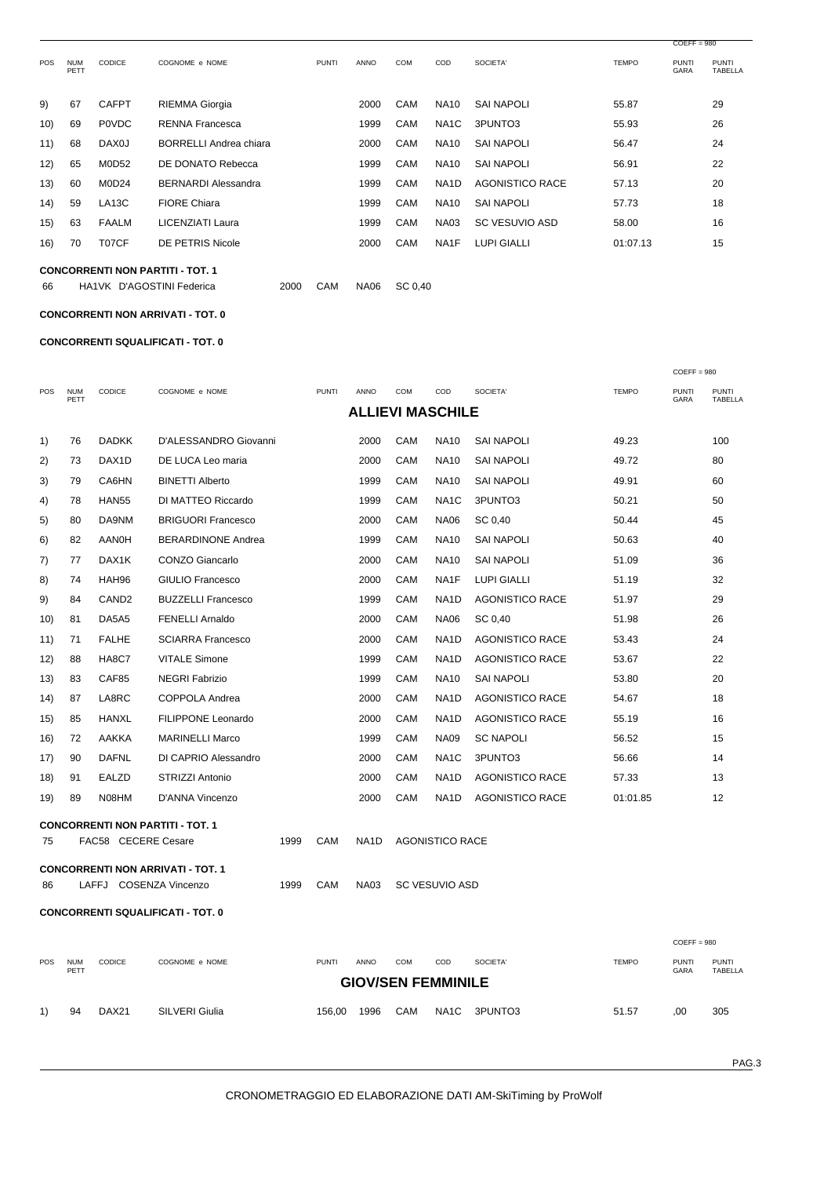|            |                    |                    |                               |              |      |            |                   |                       |              | $COEFF = 980$        |                                |
|------------|--------------------|--------------------|-------------------------------|--------------|------|------------|-------------------|-----------------------|--------------|----------------------|--------------------------------|
| <b>POS</b> | <b>NUM</b><br>PETT | <b>CODICE</b>      | COGNOME e NOME                | <b>PUNTI</b> | ANNO | <b>COM</b> | COD               | SOCIETA'              | <b>TEMPO</b> | <b>PUNTI</b><br>GARA | <b>PUNTI</b><br><b>TABELLA</b> |
| 9)         | 67                 | <b>CAFPT</b>       | <b>RIEMMA Giorgia</b>         |              | 2000 | CAM        | <b>NA10</b>       | <b>SAI NAPOLI</b>     | 55.87        |                      | 29                             |
| 10)        | 69                 | <b>POVDC</b>       | <b>RENNA Francesca</b>        |              | 1999 | CAM        | NA1C              | 3PUNTO3               | 55.93        |                      | 26                             |
| 11)        | 68                 | DAX0J              | <b>BORRELLI Andrea chiara</b> |              | 2000 | CAM        | <b>NA10</b>       | <b>SAI NAPOLI</b>     | 56.47        |                      | 24                             |
| 12)        | 65                 | <b>M0D52</b>       | DE DONATO Rebecca             |              | 1999 | CAM        | <b>NA10</b>       | <b>SAI NAPOLI</b>     | 56.91        |                      | 22                             |
| (13)       | 60                 | M0D24              | <b>BERNARDI Alessandra</b>    |              | 1999 | CAM        | NA <sub>1</sub> D | AGONISTICO RACE       | 57.13        |                      | 20                             |
| (14)       | 59                 | LA <sub>13</sub> C | <b>FIORE Chiara</b>           |              | 1999 | CAM        | <b>NA10</b>       | <b>SAI NAPOLI</b>     | 57.73        |                      | 18                             |
| 15)        | 63                 | <b>FAALM</b>       | LICENZIATI Laura              |              | 1999 | CAM        | <b>NA03</b>       | <b>SC VESUVIO ASD</b> | 58.00        |                      | 16                             |
| 16)        | 70                 | T07CF              | DE PETRIS Nicole              |              | 2000 | <b>CAM</b> | NA1F              | <b>LUPI GIALLI</b>    | 01:07.13     |                      | 15                             |
|            |                    |                    |                               |              |      |            |                   |                       |              |                      |                                |

**CONCORRENTI NON PARTITI - TOT. 1** 66

HA1VK D'AGOSTINI Federica 2000 CAM NA06 SC 0,40

### **CONCORRENTI NON ARRIVATI - TOT. 0**

**CONCORRENTI SQUALIFICATI - TOT. 0** 

|     |                                          |                     |                                          |      |              |             |            |                         |                        |              | $COEFF = 980$        |                         |  |
|-----|------------------------------------------|---------------------|------------------------------------------|------|--------------|-------------|------------|-------------------------|------------------------|--------------|----------------------|-------------------------|--|
| POS | <b>NUM</b><br>PETT                       | <b>CODICE</b>       | COGNOME e NOME                           |      | <b>PUNTI</b> | <b>ANNO</b> | <b>COM</b> | COD                     | SOCIETA'               | <b>TEMPO</b> | <b>PUNTI</b><br>GARA | <b>PUNTI</b><br>TABELLA |  |
|     |                                          |                     |                                          |      |              |             |            | <b>ALLIEVI MASCHILE</b> |                        |              |                      |                         |  |
| 1)  | 76                                       | <b>DADKK</b>        | D'ALESSANDRO Giovanni                    |      |              | 2000        | CAM        | <b>NA10</b>             | <b>SAI NAPOLI</b>      | 49.23        |                      | 100                     |  |
| 2)  | 73                                       | DAX1D               | DE LUCA Leo maria                        |      |              | 2000        | CAM        | <b>NA10</b>             | <b>SAI NAPOLI</b>      | 49.72        |                      | 80                      |  |
| 3)  | 79                                       | CA6HN               | <b>BINETTI Alberto</b>                   |      |              | 1999        | CAM        | <b>NA10</b>             | <b>SAI NAPOLI</b>      | 49.91        |                      | 60                      |  |
| 4)  | 78                                       | <b>HAN55</b>        | DI MATTEO Riccardo                       |      |              | 1999        | CAM        | NA <sub>1</sub> C       | 3PUNTO3                | 50.21        |                      | 50                      |  |
| 5)  | 80                                       | DA9NM               | <b>BRIGUORI Francesco</b>                |      |              | 2000        | CAM        | <b>NA06</b>             | SC 0,40                | 50.44        |                      | 45                      |  |
| 6)  | 82                                       | AANOH               | <b>BERARDINONE Andrea</b>                |      |              | 1999        | CAM        | <b>NA10</b>             | <b>SAI NAPOLI</b>      | 50.63        |                      | 40                      |  |
| 7)  | 77                                       | DAX1K               | <b>CONZO Giancarlo</b>                   |      |              | 2000        | CAM        | <b>NA10</b>             | <b>SAI NAPOLI</b>      | 51.09        |                      | 36                      |  |
| 8)  | 74                                       | HAH96               | GIULIO Francesco                         |      |              | 2000        | CAM        | NA1F                    | <b>LUPI GIALLI</b>     | 51.19        |                      | 32                      |  |
| 9)  | 84                                       | CAND <sub>2</sub>   | <b>BUZZELLI Francesco</b>                |      |              | 1999        | CAM        | NA <sub>1</sub> D       | <b>AGONISTICO RACE</b> | 51.97        |                      | 29                      |  |
| 10) | 81                                       | DA5A5               | <b>FENELLI Arnaldo</b>                   |      |              | 2000        | CAM        | <b>NA06</b>             | SC 0.40                | 51.98        |                      | 26                      |  |
| 11) | 71                                       | <b>FALHE</b>        | <b>SCIARRA Francesco</b>                 |      |              | 2000        | CAM        | NA <sub>1</sub> D       | AGONISTICO RACE        | 53.43        |                      | 24                      |  |
| 12) | 88                                       | HA8C7               | <b>VITALE Simone</b>                     |      |              | 1999        | CAM        | NA1D                    | AGONISTICO RACE        | 53.67        |                      | 22                      |  |
| 13) | 83                                       | CAF85               | <b>NEGRI Fabrizio</b>                    |      |              | 1999        | CAM        | <b>NA10</b>             | <b>SAI NAPOLI</b>      | 53.80        |                      | 20                      |  |
| 14) | 87                                       | LA8RC               | COPPOLA Andrea                           |      |              | 2000        | CAM        | NA <sub>1</sub> D       | AGONISTICO RACE        | 54.67        |                      | 18                      |  |
| 15) | 85                                       | HANXL               | FILIPPONE Leonardo                       |      |              | 2000        | CAM        | NA1D                    | <b>AGONISTICO RACE</b> | 55.19        |                      | 16                      |  |
| 16) | 72                                       | AAKKA               | <b>MARINELLI Marco</b>                   |      |              | 1999        | CAM        | <b>NA09</b>             | <b>SC NAPOLI</b>       | 56.52        |                      | 15                      |  |
| 17) | 90                                       | <b>DAFNL</b>        | DI CAPRIO Alessandro                     |      |              | 2000        | CAM        | NA <sub>1</sub> C       | 3PUNTO3                | 56.66        |                      | 14                      |  |
| 18) | 91                                       | <b>EALZD</b>        | STRIZZI Antonio                          |      |              | 2000        | CAM        | NA <sub>1</sub> D       | <b>AGONISTICO RACE</b> | 57.33        |                      | 13                      |  |
| 19) | 89                                       | N08HM               | D'ANNA Vincenzo                          |      |              | 2000        | CAM        | NA <sub>1</sub> D       | AGONISTICO RACE        | 01:01.85     |                      | 12                      |  |
|     |                                          |                     | <b>CONCORRENTI NON PARTITI - TOT. 1</b>  |      |              |             |            |                         |                        |              |                      |                         |  |
| 75  |                                          | FAC58 CECERE Cesare |                                          | 1999 | CAM          | NA1D        |            | <b>AGONISTICO RACE</b>  |                        |              |                      |                         |  |
|     |                                          |                     | <b>CONCORRENTI NON ARRIVATI - TOT. 1</b> |      |              |             |            |                         |                        |              |                      |                         |  |
| 86  |                                          |                     | LAFFJ COSENZA Vincenzo                   | 1999 | CAM          | <b>NA03</b> |            | <b>SC VESUVIO ASD</b>   |                        |              |                      |                         |  |
|     | <b>CONCORRENTI SQUALIFICATI - TOT. 0</b> |                     |                                          |      |              |             |            |                         |                        |              |                      |                         |  |
|     |                                          |                     |                                          |      |              |             |            |                         |                        |              |                      |                         |  |
|     |                                          |                     |                                          |      |              |             |            |                         |                        |              | $COEFF = 980$        |                         |  |

| <b>POS</b> | <b>NUM</b><br>PETT | <b>CODICE</b>     | COGNOME e NOME | PUNTI  | <b>ANNO</b> | <b>COM</b>                | COD  | SOCIETA' | <b>TEMPO</b> | <b>PUNTI</b><br>GARA | <b>PUNTI</b><br><b>TABELLA</b> |
|------------|--------------------|-------------------|----------------|--------|-------------|---------------------------|------|----------|--------------|----------------------|--------------------------------|
|            |                    |                   |                |        |             | <b>GIOV/SEN FEMMINILE</b> |      |          |              |                      |                                |
| 1)         | 94                 | DAX <sub>21</sub> | SILVERI Giulia | 156.00 | 1996        | <b>CAM</b>                | NA1C | 3PUNTO3  | 51.57        | .00                  | 305                            |